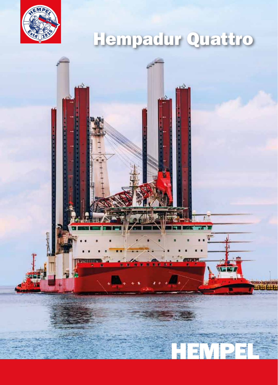

# Hempadur Quattro

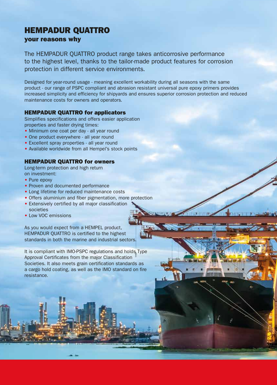## HEMPADUR QUATTRO your reasons why

The HEMPADUR QUATTRO product range takes anticorrosive performance to the highest level, thanks to the tailor-made product features for corrosion protection in different service environments.

Designed for year-round usage - meaning excellent workability during all seasons with the same product - our range of PSPC compliant and abrasion resistant universal pure epoxy primers provides increased simplicity and efficiency for shipyards and ensures superior corrosion protection and reduced maintenance costs for owners and operators.

### HEMPADUR QUATTRO for applicators

Simplifies specifications and offers easier application properties and faster drying times:

- Minimum one coat per day all year round
- One product everywhere all year round
- Excellent spray properties all year round
- Available worldwide from all Hempel's stock points

## HEMPADUR QUATTRO for owners

Long-term protection and high return on investment:

- Pure epoxy
- Proven and documented performance
- Long lifetime for reduced maintenance costs
- Offers aluminium and fiber pigmentation, more protection
- Extensively certified by all major classification societies
- Low VOC emissions

As you would expect from a HEMPEL product, HEMPADUR QUATTRO is certified to the highest standards in both the marine and industrial sectors.

It is compliant with IMO-PSPC regulations and holds Type Approval Certificates from the major Classification Societies. It also meets grain certification standards as a cargo hold coating, as well as the IMO standard on fire resistance.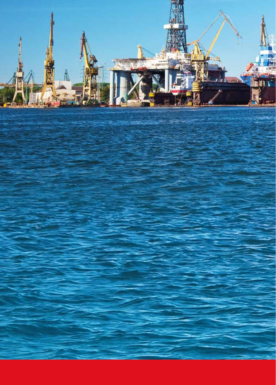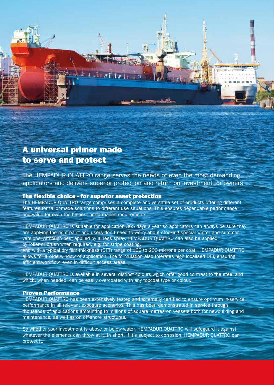

# A universal primer made to serve and protect

The HEMPADUR QUATTRO range serves the needs of even the most demanding applicators and delivers superior protection and return on investment for owners

## The flexible choice - for superior asset protection

The HEMPADUR QUATTRO range comprises a complete and versatile set of products offering different features for tailor-made solutions to different use situations. This ensures dependable performance and value for even the highest performance requirements.

HEMPADUR QUATTRO is suitable for application 365 days a year so applicators can always be sure they are applying the right paint and users don't need to worry about stocking special winter and summer versions. Although best applied by airless spray, HEMPADUR QUATTRO can also be applied by roller or brush when required, e.g. for stripe coating.

And with a typical dry film thickness (DFT) range of 100 to 200 microns per coat, HEMPADUR QUATTRO allows for a wide window of application. The formulation also tolerates high localised DFT, ensuring efficient workflow, even in difficult access areas.

HEMPADUR QUATTRO is available in several distinct colours which offer good contrast to the steel and which, when needed, can be easily overcoated with any topcoat type or colour.

## Proven Performance

HEMPADUR QUATTRO has been extensively tested and externally certified to ensure optimum in-service performance in all relevant exposure scenarios. This has been demonstrated in service through thousands of applications amounting to millions of square metres on vessels both for newbuilding and maintenance, as well as on off-shore structures.

So whether your investment is above or below water, HEMPADUR QUATTRO will safeguard it against whatever the elements can throw at it. In short, if it's subject to corrosion, HEMPADUR QUATTRO can protect it.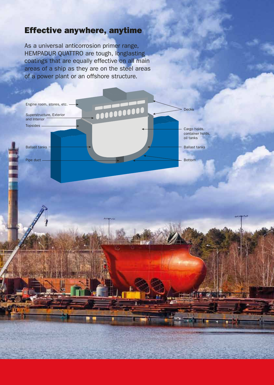## Effective anywhere, anytime

As a universal anticorrosion primer range, HEMPADUR QUATTRO are tough, longlasting coatings that are equally effective on all main areas of a ship as they are on the steel areas of a power plant or an offshore structure.